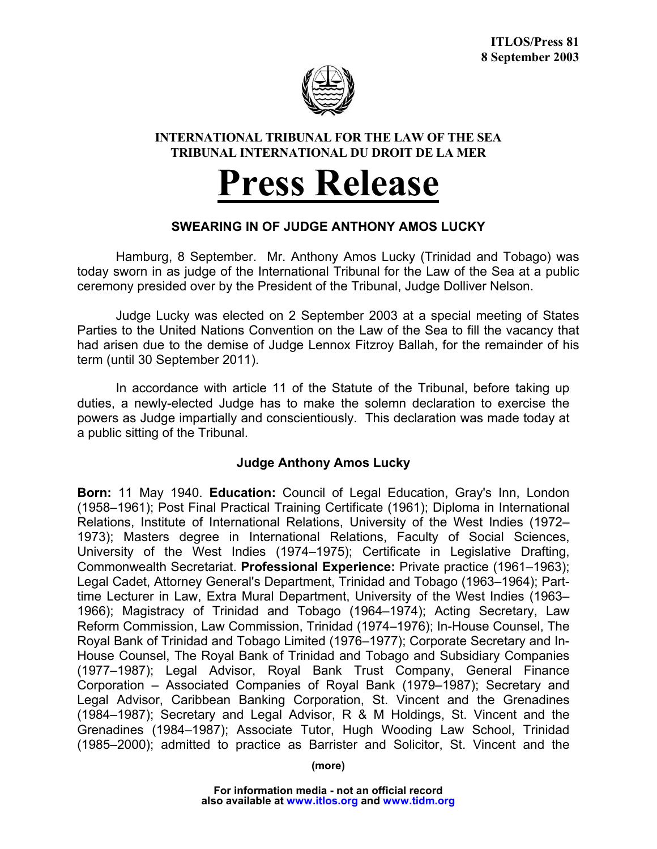

## **INTERNATIONAL TRIBUNAL FOR THE LAW OF THE SEA TRIBUNAL INTERNATIONAL DU DROIT DE LA MER**

## **Press Release**

## **SWEARING IN OF JUDGE ANTHONY AMOS LUCKY**

Hamburg, 8 September. Mr. Anthony Amos Lucky (Trinidad and Tobago) was today sworn in as judge of the International Tribunal for the Law of the Sea at a public ceremony presided over by the President of the Tribunal, Judge Dolliver Nelson.

Judge Lucky was elected on 2 September 2003 at a special meeting of States Parties to the United Nations Convention on the Law of the Sea to fill the vacancy that had arisen due to the demise of Judge Lennox Fitzroy Ballah, for the remainder of his term (until 30 September 2011).

In accordance with article 11 of the Statute of the Tribunal, before taking up duties, a newly-elected Judge has to make the solemn declaration to exercise the powers as Judge impartially and conscientiously. This declaration was made today at a public sitting of the Tribunal.

## **Judge Anthony Amos Lucky**

**Born:** 11 May 1940. **Education:** Council of Legal Education, Gray's Inn, London (1958–1961); Post Final Practical Training Certificate (1961); Diploma in International Relations, Institute of International Relations, University of the West Indies (1972– 1973); Masters degree in International Relations, Faculty of Social Sciences, University of the West Indies (1974–1975); Certificate in Legislative Drafting, Commonwealth Secretariat. **Professional Experience:** Private practice (1961–1963); Legal Cadet, Attorney General's Department, Trinidad and Tobago (1963–1964); Parttime Lecturer in Law, Extra Mural Department, University of the West Indies (1963– 1966); Magistracy of Trinidad and Tobago (1964–1974); Acting Secretary, Law Reform Commission, Law Commission, Trinidad (1974–1976); In-House Counsel, The Royal Bank of Trinidad and Tobago Limited (1976–1977); Corporate Secretary and In-House Counsel, The Royal Bank of Trinidad and Tobago and Subsidiary Companies (1977–1987); Legal Advisor, Royal Bank Trust Company, General Finance Corporation – Associated Companies of Royal Bank (1979–1987); Secretary and Legal Advisor, Caribbean Banking Corporation, St. Vincent and the Grenadines (1984–1987); Secretary and Legal Advisor, R & M Holdings, St. Vincent and the Grenadines (1984–1987); Associate Tutor, Hugh Wooding Law School, Trinidad (1985–2000); admitted to practice as Barrister and Solicitor, St. Vincent and the

**(more)**